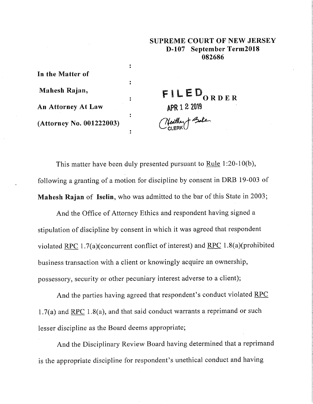## **SUPREME COURT OF NEW JERSEY D-107 September Term2018 082686**

**In the Matter of Mahesh Rajan, An Attorney At Law (Attorney No. 001222003)**

FILED<sub>ORDER</sub> **2 201** 

This matter have been duly presented pursuant to Rule 1:20-10(b), following a granting of a motion for discipline by consent in DRB 19-003 of **Mahesh Rajan** of lselin, who was admitted to the bar of this State in 2003;

 $\ddot{\cdot}$ 

 $\ddot{\phantom{a}}$ 

 $\ddot{\cdot}$ 

And the Office of Attorney Ethics and respondent having signed a stipulation of discipline by consent in which it was agreed that respondent violated RPC 1.7(a)(concurrent conflict of interest) and RPC 1.8(a)(prohibited business transaction with a client or knowingly acquire an ownership, possessory, security or other pecuniary interest adverse to a client);

And the parties having agreed that respondent's conduct violated RPC 1.7(a) and RPC 1.8(a), and that said conduct warrants a reprimand or such lesser discipline as the Board deems appropriate;

And the Disciplinary Review Board having determined that a reprimand is the appropriate discipline for respondent's unethical conduct and having